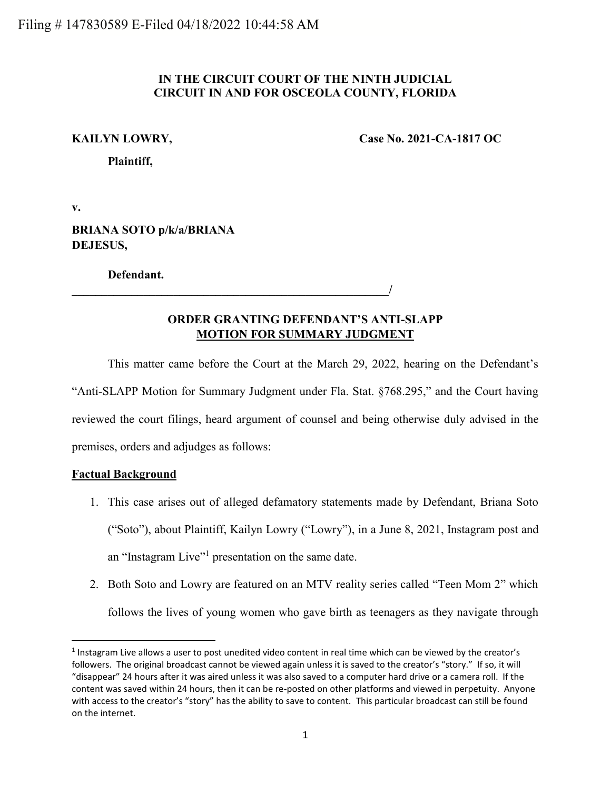## **IN THE CIRCUIT COURT OF THE NINTH JUDICIAL CIRCUIT IN AND FOR OSCEOLA COUNTY, FLORIDA**

**KAILYN LOWRY, Case No. 2021-CA-1817 OC**

**Plaintiff,**

**v.**

**BRIANA SOTO p/k/a/BRIANA DEJESUS,**

**Defendant.**

# **ORDER GRANTING DEFENDANT'S ANTI-SLAPP MOTION FOR SUMMARY JUDGMENT**

**\_\_\_\_\_\_\_\_\_\_\_\_\_\_\_\_\_\_\_\_\_\_\_\_\_\_\_\_\_\_\_\_\_\_\_\_\_\_\_\_\_\_\_\_\_\_\_\_\_\_\_\_\_/**

This matter came before the Court at the March 29, 2022, hearing on the Defendant's "Anti-SLAPP Motion for Summary Judgment under Fla. Stat. §768.295," and the Court having reviewed the court filings, heard argument of counsel and being otherwise duly advised in the premises, orders and adjudges as follows:

## **Factual Background**

l

- 1. This case arises out of alleged defamatory statements made by Defendant, Briana Soto ("Soto"), about Plaintiff, Kailyn Lowry ("Lowry"), in a June 8, 2021, Instagram post and an "Instagram Live"<sup>1</sup> presentation on the same date.
- 2. Both Soto and Lowry are featured on an MTV reality series called "Teen Mom 2" which follows the lives of young women who gave birth as teenagers as they navigate through

<sup>&</sup>lt;sup>1</sup> Instagram Live allows a user to post unedited video content in real time which can be viewed by the creator's followers. The original broadcast cannot be viewed again unless it is saved to the creator's "story." If so, it will "disappear" 24 hours after it was aired unless it was also saved to a computer hard drive or a camera roll. If the content was saved within 24 hours, then it can be re-posted on other platforms and viewed in perpetuity. Anyone with access to the creator's "story" has the ability to save to content. This particular broadcast can still be found on the internet.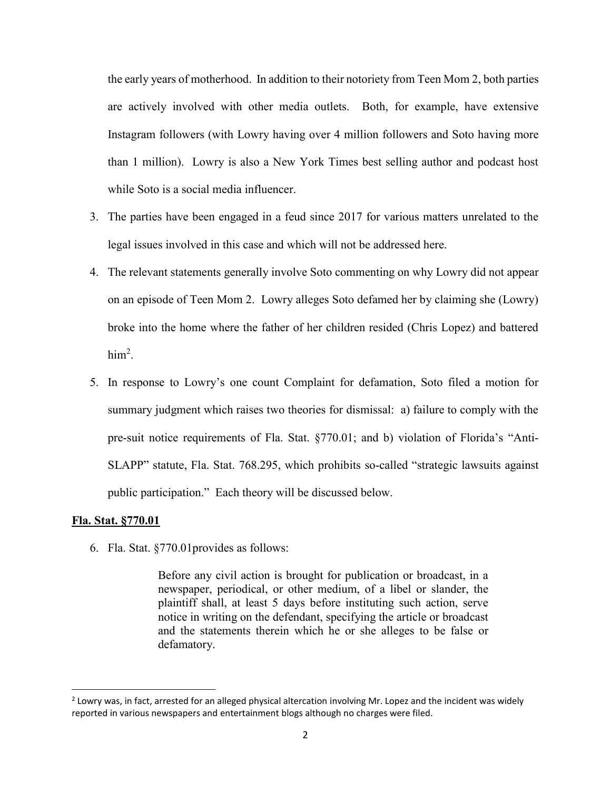the early years of motherhood. In addition to their notoriety from Teen Mom 2, both parties are actively involved with other media outlets. Both, for example, have extensive Instagram followers (with Lowry having over 4 million followers and Soto having more than 1 million). Lowry is also a New York Times best selling author and podcast host while Soto is a social media influencer.

- 3. The parties have been engaged in a feud since 2017 for various matters unrelated to the legal issues involved in this case and which will not be addressed here.
- 4. The relevant statements generally involve Soto commenting on why Lowry did not appear on an episode of Teen Mom 2. Lowry alleges Soto defamed her by claiming she (Lowry) broke into the home where the father of her children resided (Chris Lopez) and battered  $him<sup>2</sup>$ .
- 5. In response to Lowry's one count Complaint for defamation, Soto filed a motion for summary judgment which raises two theories for dismissal: a) failure to comply with the pre-suit notice requirements of Fla. Stat. §770.01; and b) violation of Florida's "Anti-SLAPP" statute, Fla. Stat. 768.295, which prohibits so-called "strategic lawsuits against public participation." Each theory will be discussed below.

### **Fla. Stat. §770.01**

 $\overline{\phantom{a}}$ 

6. Fla. Stat. §770.01provides as follows:

Before any civil action is brought for publication or broadcast, in a newspaper, periodical, or other medium, of a libel or slander, the plaintiff shall, at least 5 days before instituting such action, serve notice in writing on the defendant, specifying the article or broadcast and the statements therein which he or she alleges to be false or defamatory.

 $2$  Lowry was, in fact, arrested for an alleged physical altercation involving Mr. Lopez and the incident was widely reported in various newspapers and entertainment blogs although no charges were filed.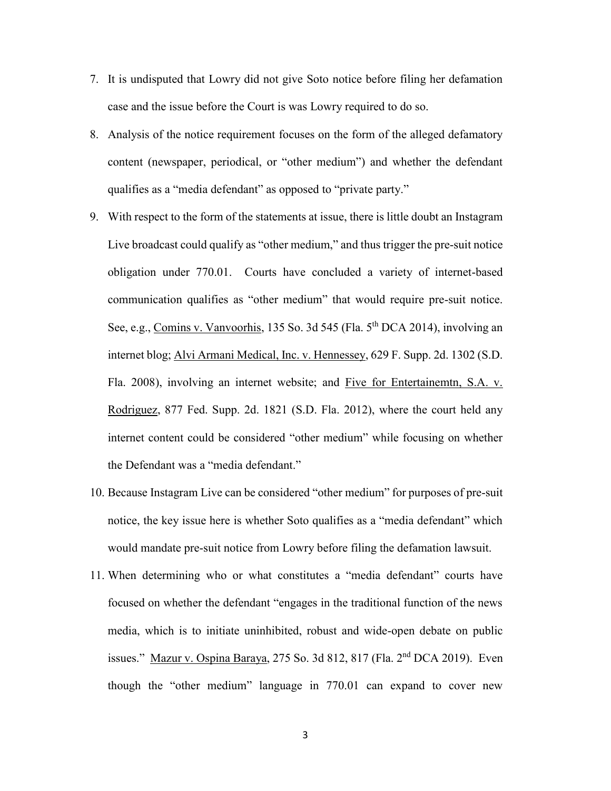- 7. It is undisputed that Lowry did not give Soto notice before filing her defamation case and the issue before the Court is was Lowry required to do so.
- 8. Analysis of the notice requirement focuses on the form of the alleged defamatory content (newspaper, periodical, or "other medium") and whether the defendant qualifies as a "media defendant" as opposed to "private party."
- 9. With respect to the form of the statements at issue, there is little doubt an Instagram Live broadcast could qualify as "other medium," and thus trigger the pre-suit notice obligation under 770.01. Courts have concluded a variety of internet-based communication qualifies as "other medium" that would require pre-suit notice. See, e.g., Comins v. Vanvoorhis, 135 So. 3d 545 (Fla. 5<sup>th</sup> DCA 2014), involving an internet blog; Alvi Armani Medical, Inc. v. Hennessey, 629 F. Supp. 2d. 1302 (S.D. Fla. 2008), involving an internet website; and Five for Entertainemtn, S.A. v. Rodriguez, 877 Fed. Supp. 2d. 1821 (S.D. Fla. 2012), where the court held any internet content could be considered "other medium" while focusing on whether the Defendant was a "media defendant."
- 10. Because Instagram Live can be considered "other medium" for purposes of pre-suit notice, the key issue here is whether Soto qualifies as a "media defendant" which would mandate pre-suit notice from Lowry before filing the defamation lawsuit.
- 11. When determining who or what constitutes a "media defendant" courts have focused on whether the defendant "engages in the traditional function of the news media, which is to initiate uninhibited, robust and wide-open debate on public issues." Mazur v. Ospina Baraya, 275 So. 3d 812, 817 (Fla. 2nd DCA 2019). Even though the "other medium" language in 770.01 can expand to cover new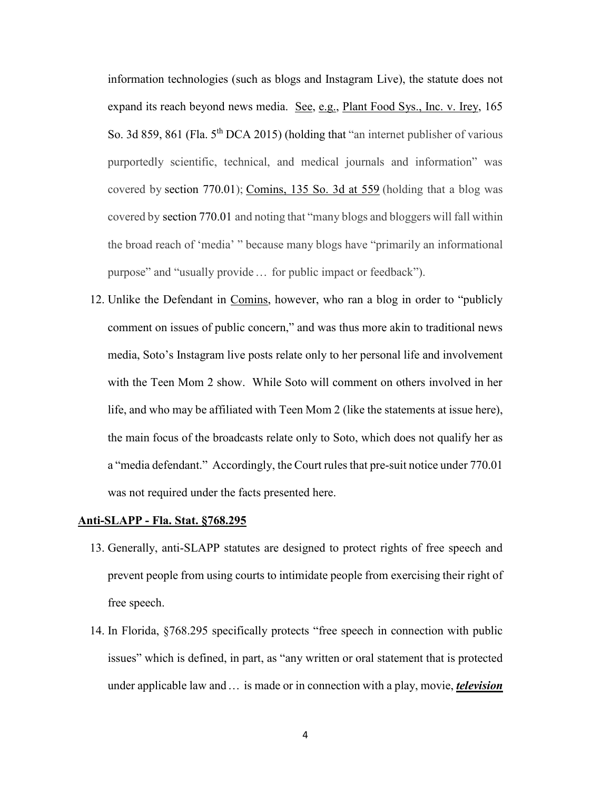information technologies (such as blogs and Instagram Live), the statute does not expand its reach beyond news media. See, e.g., Plant Food Sys., Inc. v. Irey, 165 So. 3d 859, 861 (Fla. 5<sup>th</sup> DCA 2015) (holding that "an internet publisher of various purportedly scientific, technical, and medical journals and information" was covered by section [770.01\)](https://1.next.westlaw.com/Link/Document/FullText?findType=L&pubNum=1000006&cite=FLSTS770.01&originatingDoc=If43365d0a8ef11e998e8870e22e55653&refType=LQ&originationContext=document&transitionType=DocumentItem&ppcid=3b953a3f422a46219bcf08df2da07f54&contextData=(sc.UserEnteredCitation)); [Comins,](https://1.next.westlaw.com/Link/Document/FullText?findType=Y&serNum=2033146547&pubNum=0003926&originatingDoc=If43365d0a8ef11e998e8870e22e55653&refType=RP&fi=co_pp_sp_3926_559&originationContext=document&transitionType=DocumentItem&ppcid=3b953a3f422a46219bcf08df2da07f54&contextData=(sc.UserEnteredCitation)#co_pp_sp_3926_559) 135 So. 3d at 559 (holding that a blog was covered by [section](https://1.next.westlaw.com/Link/Document/FullText?findType=L&pubNum=1000006&cite=FLSTS770.01&originatingDoc=If43365d0a8ef11e998e8870e22e55653&refType=LQ&originationContext=document&transitionType=DocumentItem&ppcid=3b953a3f422a46219bcf08df2da07f54&contextData=(sc.UserEnteredCitation)) 770.01 and noting that "many blogs and bloggers will fall within the broad reach of 'media' " because many blogs have "primarily an informational purpose" and "usually provide … for public impact or feedback").

12. Unlike the Defendant in Comins, however, who ran a blog in order to "publicly comment on issues of public concern," and was thus more akin to traditional news media, Soto's Instagram live posts relate only to her personal life and involvement with the Teen Mom 2 show. While Soto will comment on others involved in her life, and who may be affiliated with Teen Mom 2 (like the statements at issue here), the main focus of the broadcasts relate only to Soto, which does not qualify her as a "media defendant." Accordingly, the Court rules that pre-suit notice under 770.01 was not required under the facts presented here.

### **Anti-SLAPP - Fla. Stat. §768.295**

- 13. Generally, anti-SLAPP statutes are designed to protect rights of free speech and prevent people from using courts to intimidate people from exercising their right of free speech.
- 14. In Florida, §768.295 specifically protects "free speech in connection with public issues" which is defined, in part, as "any written or oral statement that is protected under applicable law and … is made or in connection with a play, movie, *television*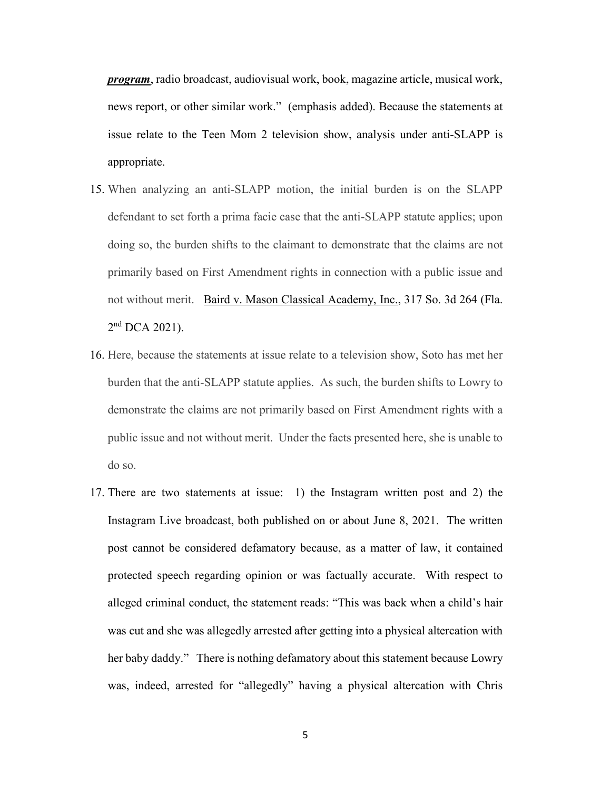*program*, radio broadcast, audiovisual work, book, magazine article, musical work, news report, or other similar work." (emphasis added). Because the statements at issue relate to the Teen Mom 2 television show, analysis under anti-SLAPP is appropriate.

- 15. When analyzing an anti-SLAPP motion, the initial burden is on the SLAPP defendant to set forth a prima facie case that the anti-SLAPP statute applies; upon doing so, the burden shifts to the claimant to demonstrate that the claims are not primarily based on First Amendment rights in connection with a public issue and not without merit. Baird v. Mason Classical [Academy,](https://1.next.westlaw.com/Link/Document/FullText?findType=Y&serNum=2053408105&pubNum=0003926&originatingDoc=NEF6F0F500FD211E5A60DEF62C5D51401&refType=RP&originationContext=notesOfDecisions&contextData=%28sc.Default%29&transitionType=NotesOfDecisionItem&ppcid=1dfa6fe8009e4d4e8a402b0affd87be5) Inc., 317 So. 3d 264 (Fla.  $2<sup>nd</sup>$  DCA [2021\).](https://1.next.westlaw.com/Link/Document/FullText?findType=Y&serNum=2053408105&pubNum=0003926&originatingDoc=NEF6F0F500FD211E5A60DEF62C5D51401&refType=RP&originationContext=notesOfDecisions&contextData=%28sc.Default%29&transitionType=NotesOfDecisionItem&ppcid=1dfa6fe8009e4d4e8a402b0affd87be5)
- 16. Here, because the statements at issue relate to a television show, Soto has met her burden that the anti-SLAPP statute applies. As such, the burden shifts to Lowry to demonstrate the claims are not primarily based on First Amendment rights with a public issue and not without merit. Under the facts presented here, she is unable to do so.
- 17. There are two statements at issue: 1) the Instagram written post and 2) the Instagram Live broadcast, both published on or about June 8, 2021. The written post cannot be considered defamatory because, as a matter of law, it contained protected speech regarding opinion or was factually accurate. With respect to alleged criminal conduct, the statement reads: "This was back when a child's hair was cut and she was allegedly arrested after getting into a physical altercation with her baby daddy." There is nothing defamatory about this statement because Lowry was, indeed, arrested for "allegedly" having a physical altercation with Chris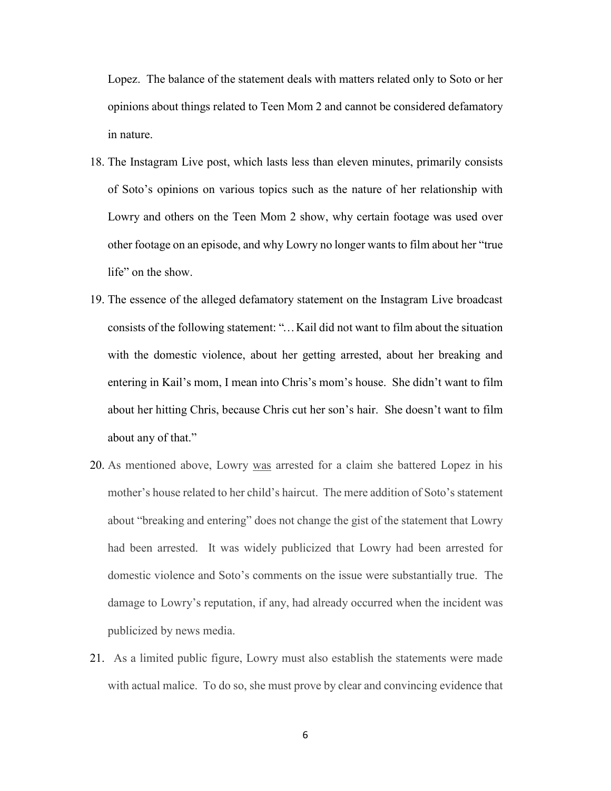Lopez. The balance of the statement deals with matters related only to Soto or her opinions about things related to Teen Mom 2 and cannot be considered defamatory in nature.

- 18. The Instagram Live post, which lasts less than eleven minutes, primarily consists of Soto's opinions on various topics such as the nature of her relationship with Lowry and others on the Teen Mom 2 show, why certain footage was used over other footage on an episode, and why Lowry no longer wants to film about her "true life" on the show.
- 19. The essence of the alleged defamatory statement on the Instagram Live broadcast consists of the following statement: "…Kail did not want to film about the situation with the domestic violence, about her getting arrested, about her breaking and entering in Kail's mom, I mean into Chris's mom's house. She didn't want to film about her hitting Chris, because Chris cut her son's hair. She doesn't want to film about any of that."
- 20. As mentioned above, Lowry was arrested for a claim she battered Lopez in his mother's house related to her child's haircut. The mere addition of Soto's statement about "breaking and entering" does not change the gist of the statement that Lowry had been arrested. It was widely publicized that Lowry had been arrested for domestic violence and Soto's comments on the issue were substantially true. The damage to Lowry's reputation, if any, had already occurred when the incident was publicized by news media.
- 21. As a limited public figure, Lowry must also establish the statements were made with actual malice. To do so, she must prove by clear and convincing evidence that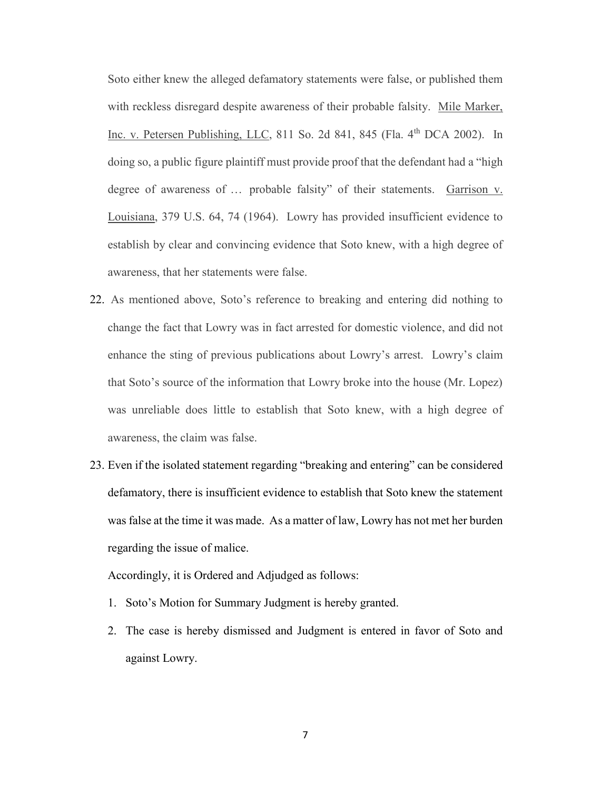Soto either knew the alleged defamatory statements were false, or published them with reckless disregard despite awareness of their probable falsity. Mile Marker, Inc. v. Petersen Publishing, LLC,  $811$  So. 2d  $841$ ,  $845$  (Fla.  $4<sup>th</sup>$  DCA 2002). In doing so, a public figure plaintiff must provide proof that the defendant had a "high degree of awareness of … probable falsity" of their statements. Garrison v. Louisiana, 379 U.S. 64, 74 (1964). Lowry has provided insufficient evidence to establish by clear and convincing evidence that Soto knew, with a high degree of awareness, that her statements were false.

- 22. As mentioned above, Soto's reference to breaking and entering did nothing to change the fact that Lowry was in fact arrested for domestic violence, and did not enhance the sting of previous publications about Lowry's arrest. Lowry's claim that Soto's source of the information that Lowry broke into the house (Mr. Lopez) was unreliable does little to establish that Soto knew, with a high degree of awareness, the claim was false.
- 23. Even if the isolated statement regarding "breaking and entering" can be considered defamatory, there is insufficient evidence to establish that Soto knew the statement was false at the time it was made. As a matter of law, Lowry has not met her burden regarding the issue of malice.

Accordingly, it is Ordered and Adjudged as follows:

- 1. Soto's Motion for Summary Judgment is hereby granted.
- 2. The case is hereby dismissed and Judgment is entered in favor of Soto and against Lowry.